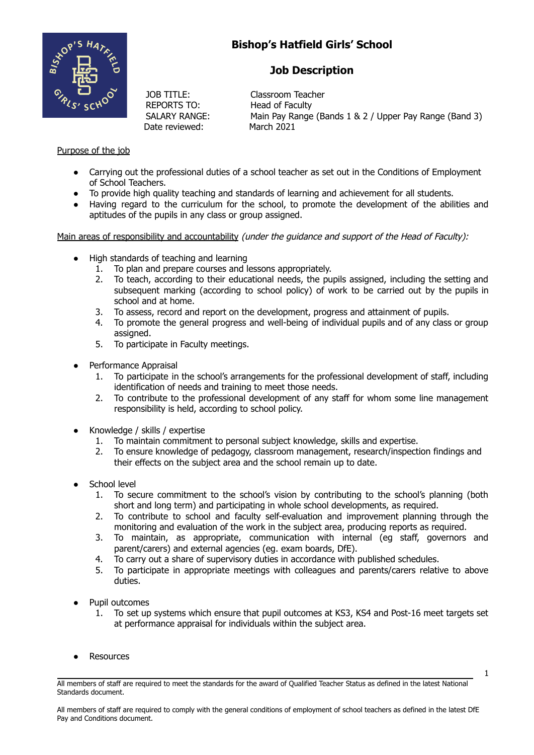

# **Bishop's Hatfield Girls' School**

## **Job Description**

JOB TITLE: Classroom Teacher REPORTS TO: Head of Faculty Date reviewed: March 2021

SALARY RANGE: Main Pay Range (Bands 1 & 2 / Upper Pay Range (Band 3)

### Purpose of the job

- Carrying out the professional duties of a school teacher as set out in the Conditions of Employment of School Teachers.
- To provide high quality teaching and standards of learning and achievement for all students.
- Having regard to the curriculum for the school, to promote the development of the abilities and aptitudes of the pupils in any class or group assigned.

Main areas of responsibility and accountability (under the guidance and support of the Head of Faculty):

- High standards of teaching and learning
	- 1. To plan and prepare courses and lessons appropriately.
	- 2. To teach, according to their educational needs, the pupils assigned, including the setting and subsequent marking (according to school policy) of work to be carried out by the pupils in school and at home.
	- 3. To assess, record and report on the development, progress and attainment of pupils.
	- 4. To promote the general progress and well-being of individual pupils and of any class or group assigned.
	- 5. To participate in Faculty meetings.
- Performance Appraisal
	- 1. To participate in the school's arrangements for the professional development of staff, including identification of needs and training to meet those needs.
	- 2. To contribute to the professional development of any staff for whom some line management responsibility is held, according to school policy.
- Knowledge / skills / expertise
	- 1. To maintain commitment to personal subject knowledge, skills and expertise.
	- 2. To ensure knowledge of pedagogy, classroom management, research/inspection findings and their effects on the subject area and the school remain up to date.
- School level
	- 1. To secure commitment to the school's vision by contributing to the school's planning (both short and long term) and participating in whole school developments, as required.
	- 2. To contribute to school and faculty self-evaluation and improvement planning through the monitoring and evaluation of the work in the subject area, producing reports as required.
	- 3. To maintain, as appropriate, communication with internal (eg staff, governors and parent/carers) and external agencies (eg. exam boards, DfE).
	- 4. To carry out a share of supervisory duties in accordance with published schedules.
	- 5. To participate in appropriate meetings with colleagues and parents/carers relative to above duties.
- Pupil outcomes
	- 1. To set up systems which ensure that pupil outcomes at KS3, KS4 and Post-16 meet targets set at performance appraisal for individuals within the subject area.
- **Resources**

All members of staff are required to meet the standards for the award of Qualified Teacher Status as defined in the latest National Standards document.